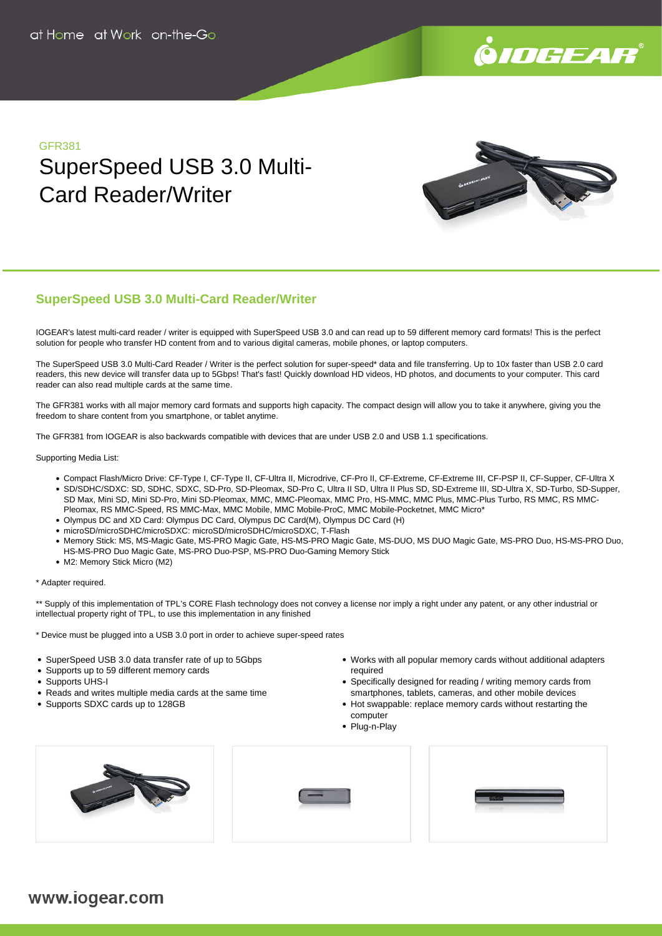

#### GFR381

# SuperSpeed USB 3.0 Multi-Card Reader/Writer



### **SuperSpeed USB 3.0 Multi-Card Reader/Writer**

IOGEAR's latest multi-card reader / writer is equipped with SuperSpeed USB 3.0 and can read up to 59 different memory card formats! This is the perfect solution for people who transfer HD content from and to various digital cameras, mobile phones, or laptop computers.

The SuperSpeed USB 3.0 Multi-Card Reader / Writer is the perfect solution for super-speed\* data and file transferring. Up to 10x faster than USB 2.0 card readers, this new device will transfer data up to 5Gbps! That's fast! Quickly download HD videos, HD photos, and documents to your computer. This card reader can also read multiple cards at the same time.

The GFR381 works with all major memory card formats and supports high capacity. The compact design will allow you to take it anywhere, giving you the freedom to share content from you smartphone, or tablet anytime.

The GFR381 from IOGEAR is also backwards compatible with devices that are under USB 2.0 and USB 1.1 specifications.

Supporting Media List:

- Compact Flash/Micro Drive: CF-Type I, CF-Type II, CF-Ultra II, Microdrive, CF-Pro II, CF-Extreme, CF-Extreme III, CF-PSP II, CF-Supper, CF-Ultra X SD/SDHC/SDXC: SD, SDHC, SDXC, SD-Pro, SD-Pleomax, SD-Pro C, Ultra II SD, Ultra II Plus SD, SD-Extreme III, SD-Ultra X, SD-Turbo, SD-Supper,
- SD Max, Mini SD, Mini SD-Pro, Mini SD-Pleomax, MMC, MMC-Pleomax, MMC Pro, HS-MMC, MMC Plus, MMC-Plus Turbo, RS MMC, RS MMC-
- Pleomax, RS MMC-Speed, RS MMC-Max, MMC Mobile, MMC Mobile-ProC, MMC Mobile-Pocketnet, MMC Micro\*
- Olympus DC and XD Card: Olympus DC Card, Olympus DC Card(M), Olympus DC Card (H)
- microSD/microSDHC/microSDXC: microSD/microSDHC/microSDXC, T-Flash
- · Memory Stick: MS, MS-Magic Gate, MS-PRO Magic Gate, HS-MS-PRO Magic Gate, MS-DUO, MS DUO Magic Gate, MS-PRO Duo, HS-MS-PRO Duo, HS-MS-PRO Duo Magic Gate, MS-PRO Duo-PSP, MS-PRO Duo-Gaming Memory Stick
- M2: Memory Stick Micro (M2)

\* Adapter required.

\*\* Supply of this implementation of TPL's CORE Flash technology does not convey a license nor imply a right under any patent, or any other industrial or intellectual property right of TPL, to use this implementation in any finished

\* Device must be plugged into a USB 3.0 port in order to achieve super-speed rates

- SuperSpeed USB 3.0 data transfer rate of up to 5Gbps
- Supports up to 59 different memory cards
- Supports UHS-I
- Reads and writes multiple media cards at the same time
- Supports SDXC cards up to 128GB
- Works with all popular memory cards without additional adapters required
- Specifically designed for reading / writing memory cards from smartphones, tablets, cameras, and other mobile devices
- Hot swappable: replace memory cards without restarting the computer
- Plug-n-Play







## www.iogear.com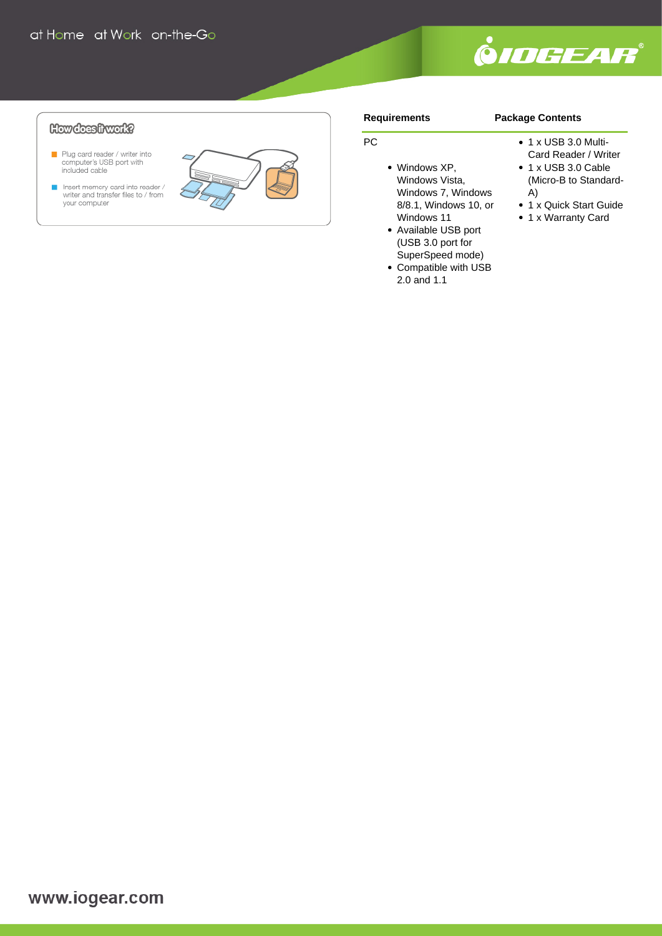

**Package Contents**

### **How does frwark?**

- Plug card reader / writer into<br>computer's USB port with<br>included cable
- Insert memory card into reader /<br>writer and transfer files to / from<br>your computer



#### **Requirements**

• Windows XP, Windows Vista, Windows 7, Windows 8/8.1, Windows 10, or

Windows 11 Available USB port (USB 3.0 port for SuperSpeed mode) Compatible with USB 2.0 and 1.1

PC

#### • 1 x USB 3.0 Multi-

- Card Reader / Writer • 1 x USB 3.0 Cable
- (Micro-B to Standard-A)
- 1 x Quick Start Guide
- 1 x Warranty Card

www.iogear.com